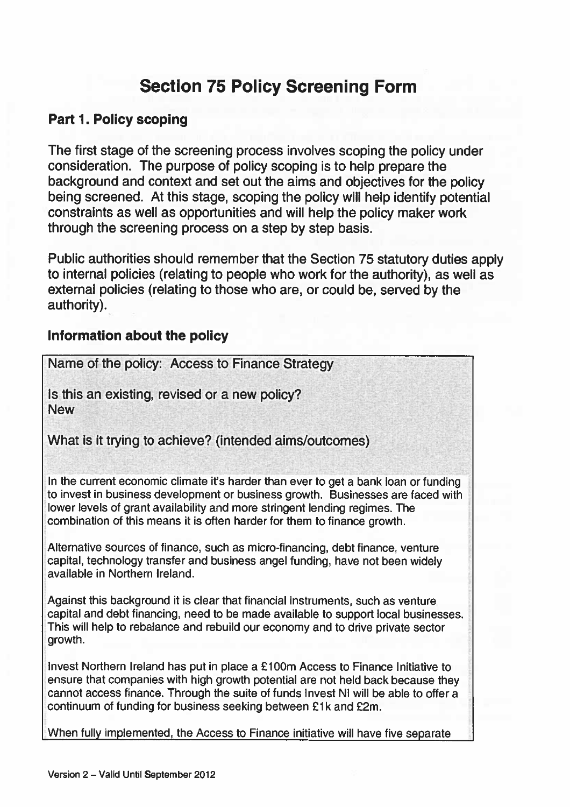# Section 75 Policy Screening Form

### Part 1. Policy scoping

The first stage of the screening process involves scoping the policy under consideration. The purpose of policy scoping is to help prepare the background and context and set out the aims and objectives for the policy being screened. At this stage, scoping the policy will help identify potential constraints as well as opportunities and will help the policy maker work through the screening process on a step by step basis.

Public authorities should remember that the Section 75 statutory duties apply to internal policies (relating to people who work for the authority), as well as external policies (relating to those who are, or could be, served by the authority).

#### Information about the policy

Name of the policy: Access to Finance Strategy Is this an existing, revised or a new policy? **New** What is it trying to achieve? (intended aims/outcomes) In the current economic climate it's harder than ever to get a bank loan or funding to invest in business development or business growth. Businesses are faced with lower levels of grant availability and more stringent lending regimes. The combination of this means it is often harder for them to finance growth. Alternative sources of finance, such as micro-financing, debt finance, venture capital, technology transfer and business angel funding, have not been widely available in Northern Ireland. Against this background it is clear that financial instruments, such as venture capital and debt financing, need to be made available to support local businesses. This will help to rebalance and rebuild our economy and to drive private sector growth.

Invest Northern Ireland has put in place a £100m Access to Finance Initiative to ensure that companies with high growth potential are not held back because they cannot access finance. Through the suite of funds Invest NI will be able to offer a continuum of funding for business seeking between £1 <sup>k</sup> and £2m.

When fully implemented, the Access to Finance initiative will have five separate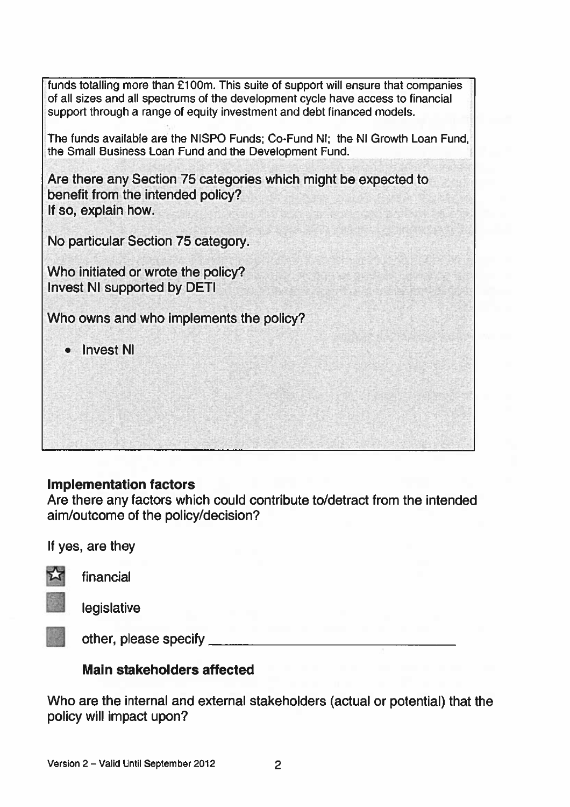| funds totalling more than £100m. This suite of support will ensure that companies<br>of all sizes and all spectrums of the development cycle have access to financial<br>support through a range of equity investment and debt financed models. |
|-------------------------------------------------------------------------------------------------------------------------------------------------------------------------------------------------------------------------------------------------|
| The funds available are the NISPO Funds; Co-Fund NI; the NI Growth Loan Fund,<br>the Small Business Loan Fund and the Development Fund.                                                                                                         |
| Are there any Section 75 categories which might be expected to<br>benefit from the intended policy?<br>If so, explain how.                                                                                                                      |
| No particular Section 75 category.                                                                                                                                                                                                              |
| Who initiated or wrote the policy?<br>Invest NI supported by DETI                                                                                                                                                                               |
| Who owns and who implements the policy?                                                                                                                                                                                                         |
| <b>Invest NI</b>                                                                                                                                                                                                                                |
|                                                                                                                                                                                                                                                 |
|                                                                                                                                                                                                                                                 |
|                                                                                                                                                                                                                                                 |

#### Implementation factors

Are there any factors which could contribute to/detract from the intended aim/outcome of the policy/decision?

If yes, are they



financial  $\frac{1}{\sqrt{2}}$  financial<br>legislative

other, please specify

# Main stakeholders affected

Who are the internal and external stakeholders (actual or potential) that the policy will impact upon?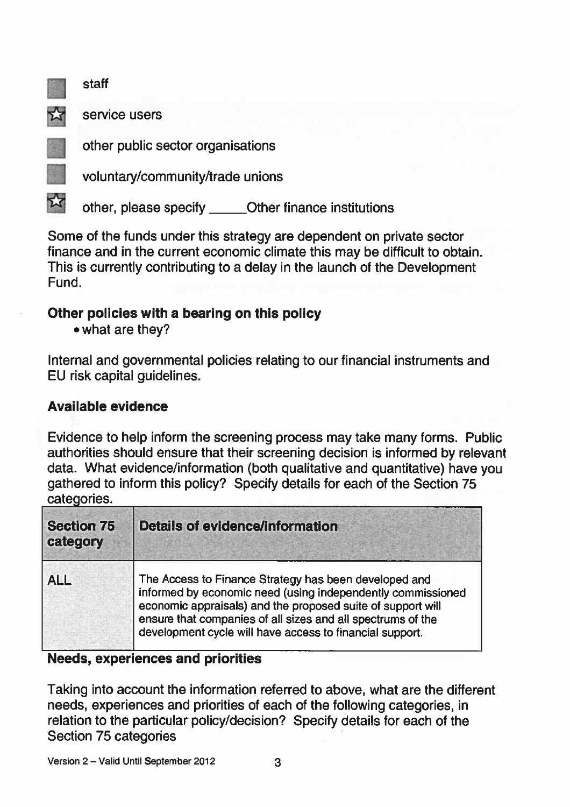staff

service users I

other public sector organisations

voluntary/community/trade unions

公 other, please specify \_\_\_\_\_Other finance institutions

Some of the funds under this strategy are dependent on private sector finance and in the current economic climate this may be difficult to obtain. This is currently contributing to a delay in the launch of the Development Fund.

# Other policies with a bearing on this policy

• what are they?

Internal and governmental policies relating to our financial instruments and EU risk capital guidelines.

# Available evidence

Evidence to help inform the screening process may take many forms. Public authorities should ensure that their screening decision is informed by relevant data. What evidence/information (both qualitative and quantitative) have you gathered to inform this policy? Specify details for each of the Section 75 categories.

| <b>Section 75</b><br>category | <b>Details of evidence/information</b>                                                                                                                                                                                                                                                                         |
|-------------------------------|----------------------------------------------------------------------------------------------------------------------------------------------------------------------------------------------------------------------------------------------------------------------------------------------------------------|
| <b>ALL</b>                    | The Access to Finance Strategy has been developed and<br>informed by economic need (using independently commissioned<br>economic appraisals) and the proposed suite of support will<br>ensure that companies of all sizes and all spectrums of the<br>development cycle will have access to financial support. |

# Needs, experiences and priorities

Taking into account the information referred to above, what are the different needs, experiences and priorities of each of the following categories, in relation to the particular policy/decision? Specify details for each of the Section 75 categories

Version 2 – Valid Until September 2012 3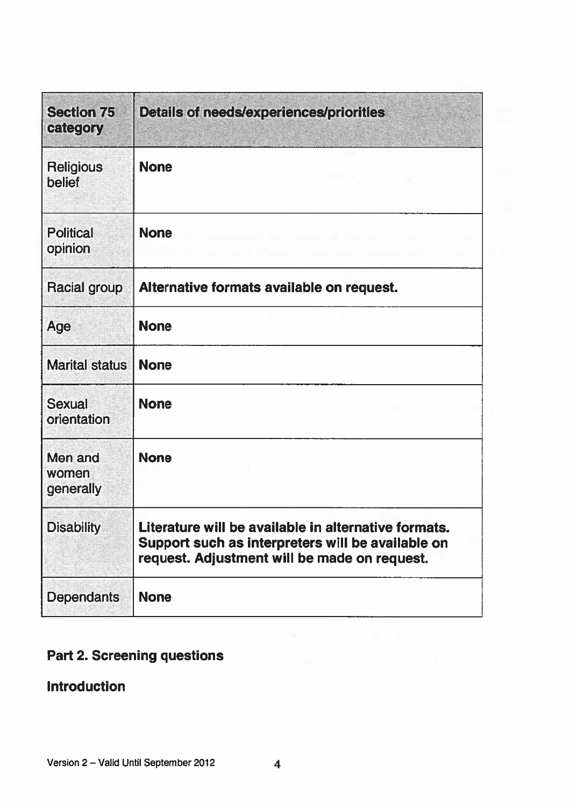| <b>Section 75</b><br>category | Details of needs/experiences/priorities                                                                                                                   |  |
|-------------------------------|-----------------------------------------------------------------------------------------------------------------------------------------------------------|--|
| <b>Religious</b><br>belief    | <b>None</b>                                                                                                                                               |  |
| <b>Political</b><br>opinion   | <b>None</b>                                                                                                                                               |  |
| <b>Racial group</b>           | Alternative formats available on request.                                                                                                                 |  |
| Age                           | <b>None</b>                                                                                                                                               |  |
| <b>Marital status</b>         | <b>None</b>                                                                                                                                               |  |
| <b>Sexual</b><br>orientation  | <b>None</b>                                                                                                                                               |  |
| Men and<br>women<br>generally | <b>None</b>                                                                                                                                               |  |
| <b>Disability</b>             | Literature will be available in alternative formats.<br>Support such as interpreters will be available on<br>request. Adjustment will be made on request. |  |
| <b>Dependants</b>             | <b>None</b>                                                                                                                                               |  |

# Part 2. Screening questions

# **Introduction**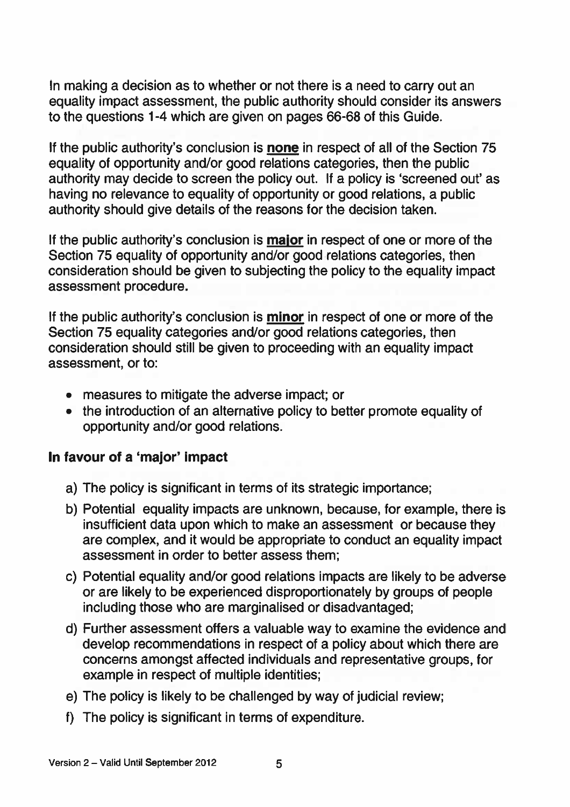In making a decision as to whether or not there is a need to carry out an equality impact assessment, the public authority should consider its answers to the questions 1-4 which are given on pages 66-68 of this Guide.

If the public authority's conclusion is **none** in respect of all of the Section 75 equality of opportunity and/or good relations categories, then the public authority may decide to screen the policy out. If a policy is 'screened out' as having no relevance to equality of opportunity or good relations, a public authority should give details of the reasons for the decision taken.

If the public authority's conclusion is **major** in respect of one or more of the Section 75 equality of opportunity and/or good relations categories, then consideration should be given to subjecting the policy to the equality impact assessment procedure.

If the public authority's conclusion is **minor** in respect of one or more of the Section 75 equality categories and/or good relations categories, then consideration should still be given to proceeding with an equality impact assessment, or to:

- measures to mitigate the adverse impact; or
- the introduction of an alternative policy to better promote equality of opportunity and/or good relations.

# In favour of a 'major' impact

- a) The policy is significant in terms of its strategic importance;
- b) Potential equality impacts are unknown, because, for example, there is insufficient data upon which to make an assessment or because they are complex, and it would be appropriate to conduct an equality impact assessment in order to better assess them;
- c) Potential equality and/or good relations impacts are likely to be adverse or are likely to be experienced disproportionately by groups of people including those who are marginalised or disadvantaged;
- d) Further assessment offers a valuable way to examine the evidence and develop recommendations in respect of a policy about which there are concerns amongst affected individuals and representative groups, for example in respect of multiple identities;
- e) The policy is likely to be challenged by way of judicial review;
- f) The policy is significant in terms of expenditure.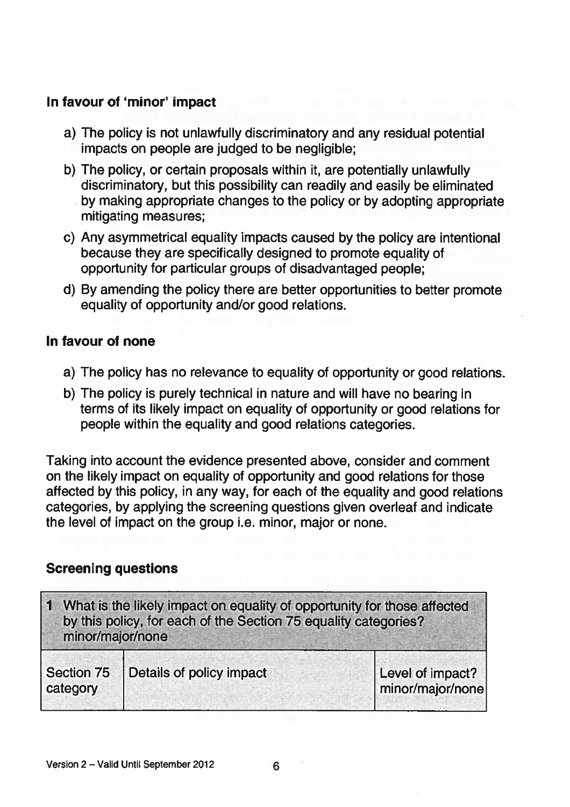# In favour of 'minor' impact

- a) The policy is not unlawfully discriminatory and any residual potential impacts on people are judged to be negligible;
- b) The policy, or certain proposals within it, are potentially unlawfully discriminatory, but this possibility can readily and easily be eliminated by making appropriate changes to the policy or by adopting appropriate mitigating measures;
- c) Any asymmetrical equality impacts caused by the policy are intentional because they are specifically designed to promote equality of opportunity for particular groups of disadvantaged people;
- d) By amending the policy there are better opportunities to better promote equality of opportunity and/or good relations.

### In favour of none

- a) The policy has no relevance to equality of opportunity or good relations.
- b) The policy is purely technical in nature and will have no bearing in terms of its likely impact on equality of opportunity or good relations for people within the equality and good relations categories.

Taking into account the evidence presented above, consider and comment on the likely impact on equality of opportunity and good relations for those affected by this policy, in any way, for each of the equality and good relations categories, by applying the screening questions given overleaf and indicate the level of impact on the group i.e. minor, major or none.

### Screening questions

| minor/major/none       | What is the likely impact on equality of opportunity for those affected<br>by this policy, for each of the Section 75 equality categories? |                                      |
|------------------------|--------------------------------------------------------------------------------------------------------------------------------------------|--------------------------------------|
| Section 75<br>category | Details of policy impact                                                                                                                   | Level of impact?<br>minor/major/none |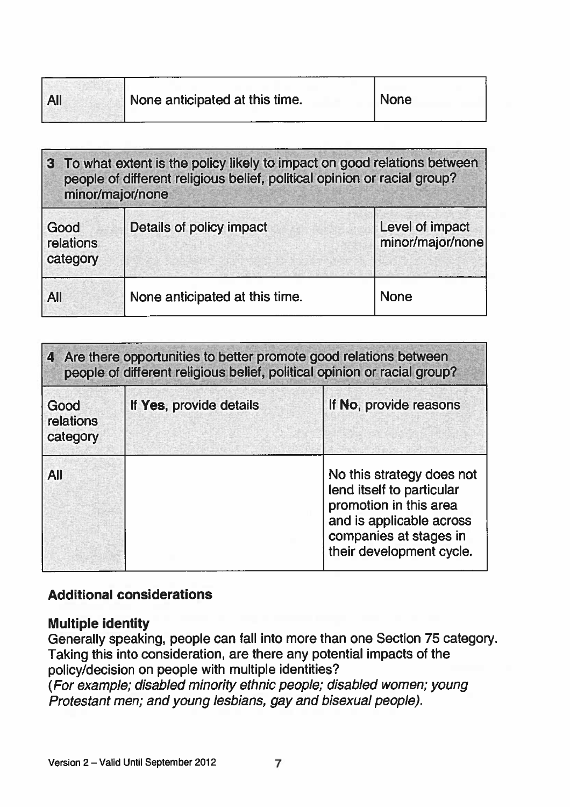| All | None anticipated at this time. | <b>None</b> |
|-----|--------------------------------|-------------|
|     |                                |             |

3 To what extent is the policy likely to impact on good relations between people of different religious belief, political opinion or racial group? minor/major/none Good Details of policy impact Level of impact relations  $\blacksquare$ category

| All | None anticipated at this time. | <b>None</b> |
|-----|--------------------------------|-------------|

| 4 Are there opportunities to better promote good relations between<br>people of different religious belief, political opinion or racial group? |                         |                                                                                                                                                                    |  |
|------------------------------------------------------------------------------------------------------------------------------------------------|-------------------------|--------------------------------------------------------------------------------------------------------------------------------------------------------------------|--|
| Good<br>relations<br>category                                                                                                                  | If Yes, provide details | If No, provide reasons                                                                                                                                             |  |
| <b>All</b>                                                                                                                                     |                         | No this strategy does not<br>lend itself to particular<br>promotion in this area<br>and is applicable across<br>companies at stages in<br>their development cycle. |  |

# Additional considerations

### Multiple identity

Generally speaking, people can fall into more than one Section 75 category. Taking this into consideration, are there any potential impacts of the policy/decision on people with multiple identities? (For example; disabled minority ethnic people; disabled women; young Protestant men; and young lesbians, gay and bisexual people).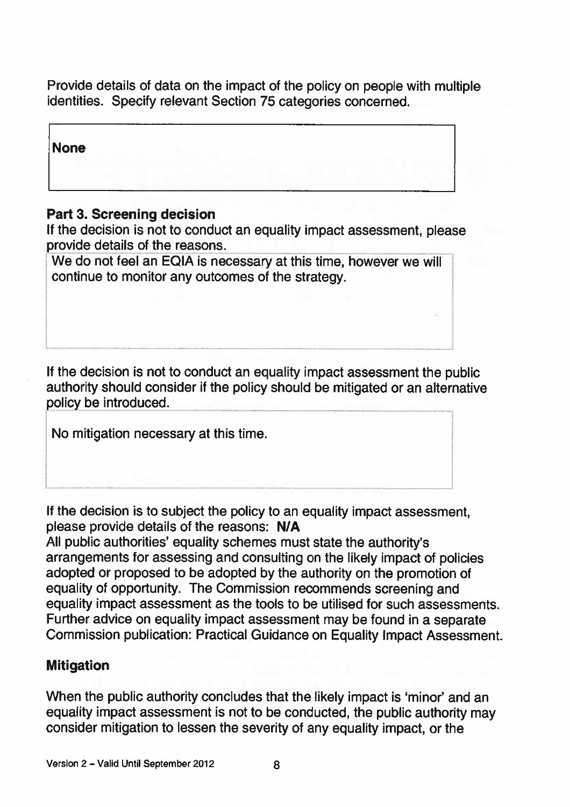Provide details of data on the impact of the policy on people with multiple identities. Specify relevant Section 75 categories concerned.

|      | . |  |
|------|---|--|
| None |   |  |
|      |   |  |
|      |   |  |
|      |   |  |

### Part 3. Screening decision

If the decision is not to conduct an equality impact assessment, please provide details of the reasons.

We do not feel an EQIA is necessary at this time, however we will continue to monitor any outcomes of the strategy.

If the decision is not to conduct an equality impact assessment the public authority should consider if the policy should be mitigated or an alternative policy be introduced.

No mitigation necessary at this time.

If the decision is to subject the policy to an equality impact assessment, please provide details of the reasons: N/A

All public authorities' equality schemes must state the authority's arrangements for assessing and consulting on the likely impact of policies adopted or proposed to be adopted by the authority on the promotion of equality of opportunity. The Commission recommends screening and equality impact assessment as the tools to be utilised for such assessments. Further advice on equality impact assessment may be found in a separate Commission publication: Practical Guidance on Equality Impact Assessment.

### **Mitigation**

When the public authority concludes that the likely impact is 'minor' and an equality impact assessment is not to be conducted, the public authority may consider mitigation to lessen the severity of any equality impact, or the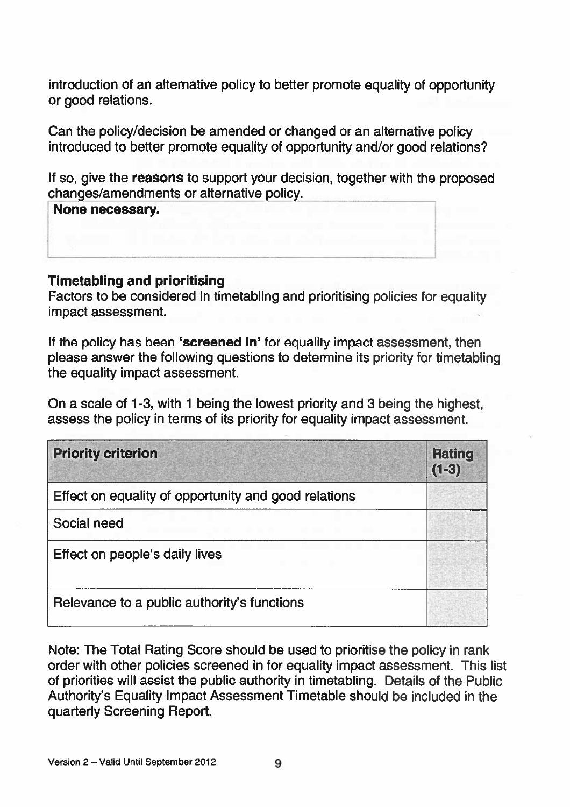introduction of an alternative policy to better promote equality of opportunity or good relations.

Can the policy/decision be amended or changed or an alternative policy introduced to better promote equality of opportunity and/or good relations?

If so, give the reasons to support your decision, together with the proposed changes/amendments or alternative policy.



#### Timetabling and prioritising

Factors to be considered in timetabling and prioritising policies for equality impact assessment.

If the policy has been 'screened in' for equality impact assessment, then please answer the following questions to determine its priority for timetabling the equality impact assessment.

On a scale of 1-3, with <sup>1</sup> being the lowest priority and 3 being the highest, assess the policy in terms of its priority for equality impact assessment.

| <b>Priority criterion</b>                            | <b>Rating</b><br>$(1-3)$ |
|------------------------------------------------------|--------------------------|
| Effect on equality of opportunity and good relations |                          |
| Social need                                          |                          |
| Effect on people's daily lives                       |                          |
| Relevance to a public authority's functions          |                          |

Note: The Total Rating Score should be used to prioritise the policy in rank order with other policies screened in for equality impact assessment. This list of priorities will assist the public authority in timetabling. Details of the Public Authority's Equality Impact Assessment Timetable should be included in the quarterly Screening Report.